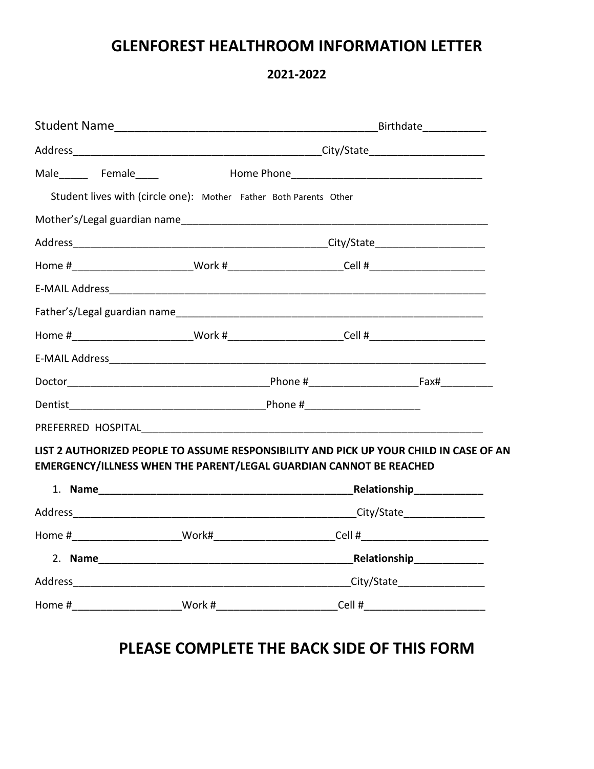## **GLENFOREST HEALTHROOM INFORMATION LETTER**

**2021-2022**

|                                                                                                                                                              |  |  | Birthdate_____________ |  |
|--------------------------------------------------------------------------------------------------------------------------------------------------------------|--|--|------------------------|--|
|                                                                                                                                                              |  |  |                        |  |
| Male Female                                                                                                                                                  |  |  |                        |  |
| Student lives with (circle one): Mother Father Both Parents Other                                                                                            |  |  |                        |  |
|                                                                                                                                                              |  |  |                        |  |
|                                                                                                                                                              |  |  |                        |  |
| Home #__________________________Work #__________________________Cell #_____________________________                                                          |  |  |                        |  |
|                                                                                                                                                              |  |  |                        |  |
|                                                                                                                                                              |  |  |                        |  |
| Home #________________________Work #________________________Cell #__________________________________                                                         |  |  |                        |  |
|                                                                                                                                                              |  |  |                        |  |
|                                                                                                                                                              |  |  |                        |  |
|                                                                                                                                                              |  |  |                        |  |
|                                                                                                                                                              |  |  |                        |  |
| LIST 2 AUTHORIZED PEOPLE TO ASSUME RESPONSIBILITY AND PICK UP YOUR CHILD IN CASE OF AN<br>EMERGENCY/ILLNESS WHEN THE PARENT/LEGAL GUARDIAN CANNOT BE REACHED |  |  |                        |  |
|                                                                                                                                                              |  |  |                        |  |
|                                                                                                                                                              |  |  |                        |  |
| Home #__________________________Work#__________________________Cell #______________________________                                                          |  |  |                        |  |
|                                                                                                                                                              |  |  |                        |  |
|                                                                                                                                                              |  |  |                        |  |
|                                                                                                                                                              |  |  |                        |  |

## **PLEASE COMPLETE THE BACK SIDE OF THIS FORM**